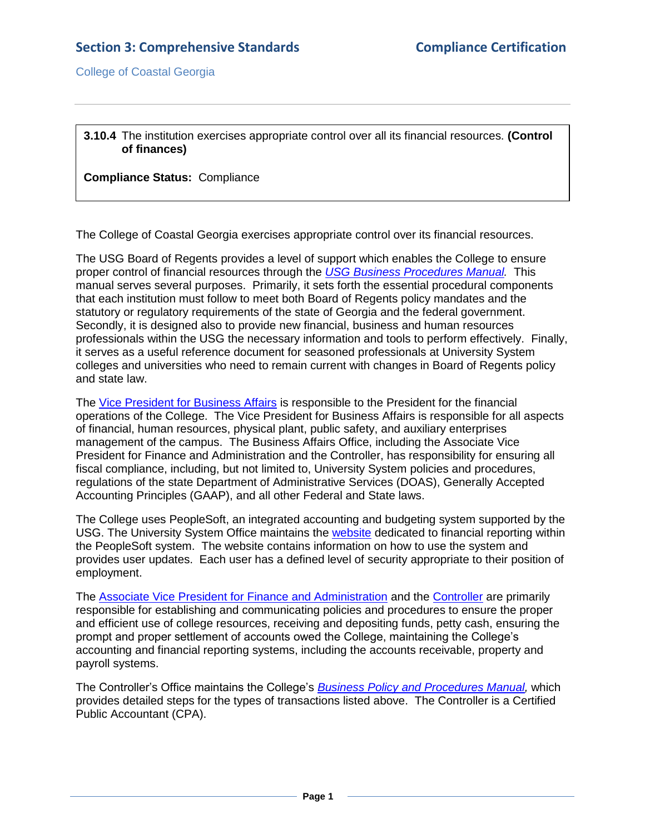College of Coastal Georgia

**3.10.4** The institution exercises appropriate control over all its financial resources. **(Control of finances)**

**Compliance Status:** Compliance

The College of Coastal Georgia exercises appropriate control over its financial resources.

The USG Board of Regents provides a level of support which enables the College to ensure proper control of financial resources through the *[USG Business Procedures Manual.](3.10.4.aUSGBusinessProceduresManualWebsite.htm#page=1)* This manual serves several purposes. Primarily, it sets forth the essential procedural components that each institution must follow to meet both Board of Regents policy mandates and the statutory or regulatory requirements of the state of Georgia and the federal government. Secondly, it is designed also to provide new financial, business and human resources professionals within the USG the necessary information and tools to perform effectively. Finally, it serves as a useful reference document for seasoned professionals at University System colleges and universities who need to remain current with changes in Board of Regents policy and state law.

The [Vice President for Business Affairs](3.10.4.bVPBAjobdecrip.pdf#page=1) is responsible to the President for the financial operations of the College. The Vice President for Business Affairs is responsible for all aspects of financial, human resources, physical plant, public safety, and auxiliary enterprises management of the campus. The Business Affairs Office, including the Associate Vice President for Finance and Administration and the Controller, has responsibility for ensuring all fiscal compliance, including, but not limited to, University System policies and procedures, regulations of the state Department of Administrative Services (DOAS), Generally Accepted Accounting Principles (GAAP), and all other Federal and State laws.

The College uses PeopleSoft, an integrated accounting and budgeting system supported by the USG. The University System Office maintains the [website](3.10.4.cUSGFirstFinancialsWebsite.htm#page=1) dedicated to financial reporting within the PeopleSoft system. The website contains information on how to use the system and provides user updates. Each user has a defined level of security appropriate to their position of employment.

The [Associate Vice President for Finance and Administration](3.10.4.dAVPFAjobdescrip.pdf#page=1) and the [Controller](3.10.4.eControllerjobdescrip.pdf#page=1) are primarily responsible for establishing and communicating policies and procedures to ensure the proper and efficient use of college resources, receiving and depositing funds, petty cash, ensuring the prompt and proper settlement of accounts owed the College, maintaining the College's accounting and financial reporting systems, including the accounts receivable, property and payroll systems.

The Controller's Office maintains the College's *[Business Policy and Procedures Manual,](3.10.4.fCCGABusProcManual.pdf#page=1)* which provides detailed steps for the types of transactions listed above. The Controller is a Certified Public Accountant (CPA).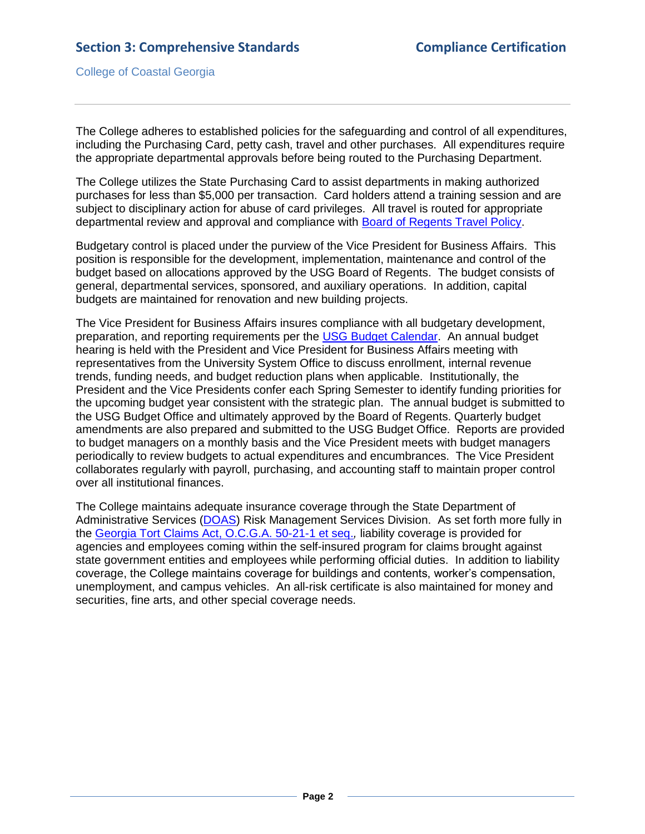College of Coastal Georgia

The College adheres to established policies for the safeguarding and control of all expenditures, including the Purchasing Card, petty cash, travel and other purchases. All expenditures require the appropriate departmental approvals before being routed to the Purchasing Department.

The College utilizes the State Purchasing Card to assist departments in making authorized purchases for less than \$5,000 per transaction. Card holders attend a training session and are subject to disciplinary action for abuse of card privileges. All travel is routed for appropriate departmental review and approval and compliance with [Board of Regents Travel Policy.](3.10.4.gBORTravelPolicy.pdf#page=1)

Budgetary control is placed under the purview of the Vice President for Business Affairs. This position is responsible for the development, implementation, maintenance and control of the budget based on allocations approved by the USG Board of Regents. The budget consists of general, departmental services, sponsored, and auxiliary operations. In addition, capital budgets are maintained for renovation and new building projects.

The Vice President for Business Affairs insures compliance with all budgetary development, preparation, and reporting requirements per the [USG Budget Calendar.](3.10.4.hUSGbudgetcalendar.pdf#page=1) An annual budget hearing is held with the President and Vice President for Business Affairs meeting with representatives from the University System Office to discuss enrollment, internal revenue trends, funding needs, and budget reduction plans when applicable. Institutionally, the President and the Vice Presidents confer each Spring Semester to identify funding priorities for the upcoming budget year consistent with the strategic plan. The annual budget is submitted to the USG Budget Office and ultimately approved by the Board of Regents. Quarterly budget amendments are also prepared and submitted to the USG Budget Office. Reports are provided to budget managers on a monthly basis and the Vice President meets with budget managers periodically to review budgets to actual expenditures and encumbrances. The Vice President collaborates regularly with payroll, purchasing, and accounting staff to maintain proper control over all institutional finances.

The College maintains adequate insurance coverage through the State Department of Administrative Services [\(DOAS\)](3.11.1.bDOASInsCert.pdf#page=1) Risk Management Services Division. As set forth more fully in the [Georgia Tort Claims Act, O.C.G.A. 50-21-1 et seq.](3.10.4.jOCofGA50-21-1.pdf#page=1)*,* liability coverage is provided for agencies and employees coming within the self-insured program for claims brought against state government entities and employees while performing official duties. In addition to liability coverage, the College maintains coverage for buildings and contents, worker's compensation, unemployment, and campus vehicles. An all-risk certificate is also maintained for money and securities, fine arts, and other special coverage needs.